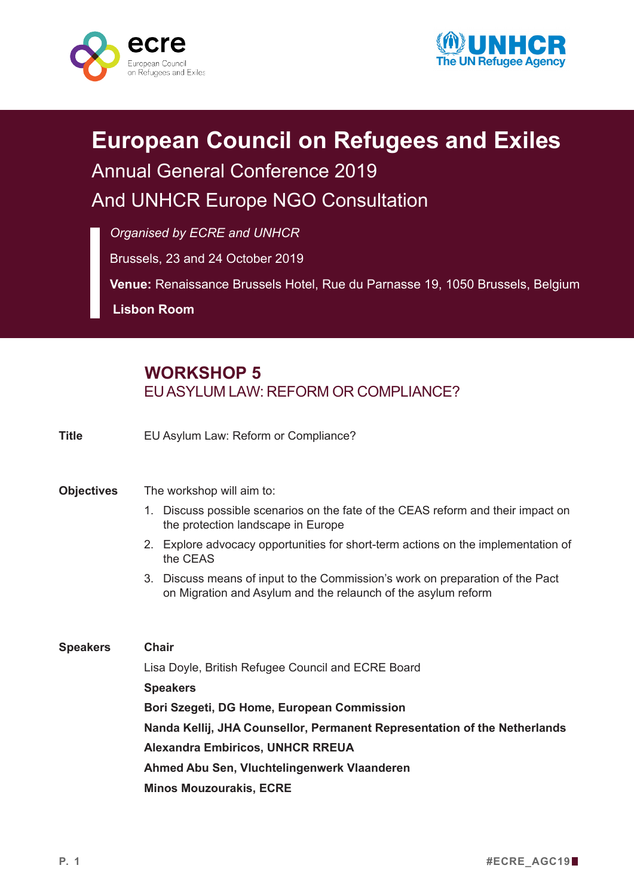



## **European Council on Refugees and Exiles** Annual General Conference 2019 And UNHCR Europe NGO Consultation

*Organised by ECRE and UNHCR*

Brussels, 23 and 24 October 2019

**Venue:** Renaissance Brussels Hotel, Rue du Parnasse 19, 1050 Brussels, Belgium

**Lisbon Room**

## **WORKSHOP 5** EUASYLUM LAW: REFORM OR COMPLIANCE?

**Title** EU Asylum Law: Reform or Compliance?

## **Objectives** The workshop will aim to:

- 1. Discuss possible scenarios on the fate of the CEAS reform and their impact on the protection landscape in Europe
- 2. Explore advocacy opportunities for short-term actions on the implementation of the CEAS
- 3. Discuss means of input to the Commission's work on preparation of the Pact on Migration and Asylum and the relaunch of the asylum reform

**Speakers Chair** Lisa Doyle, British Refugee Council and ECRE Board **Speakers Bori Szegeti, DG Home, European Commission Nanda Kellij, JHA Counsellor, Permanent Representation of the Netherlands Alexandra Embiricos, UNHCR RREUA Ahmed Abu Sen, Vluchtelingenwerk Vlaanderen Minos Mouzourakis, ECRE**